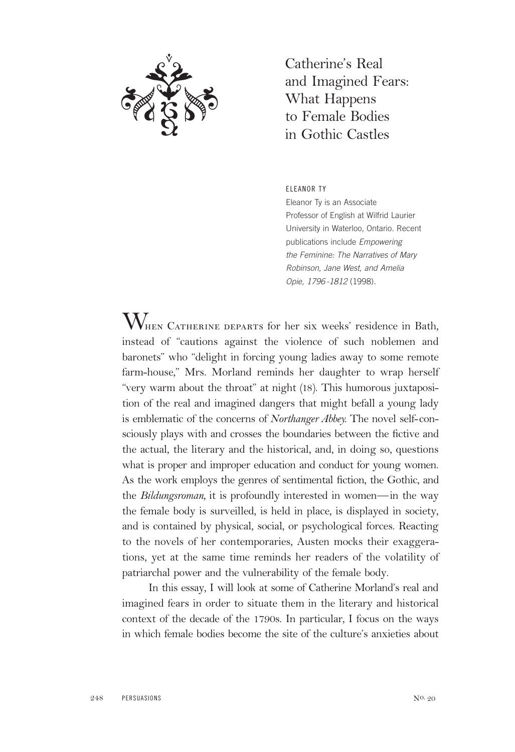

Catherine's Real and Imagined Fears: What Happens to Female Bodies in Gothic Castles

ELEANOR TY

Eleanor Ty is an Associate Professor of English at Wilfrid Laurier University in Waterloo, Ontario. Recent publications include Empowering the Feminine: The Narratives of Mary Robinson, Jane West, and Amelia Opie, 1796 -1812 (1998).

 $\rm{W}_{\scriptscriptstyle{HEN}}$  Catherine departs for her six weeks' residence in Bath, instead of "cautions against the violence of such noblemen and baronets" who "delight in forcing young ladies away to some remote farm-house," Mrs. Morland reminds her daughter to wrap herself "very warm about the throat" at night (18). This humorous juxtaposition of the real and imagined dangers that might befall a young lady is emblematic of the concerns of *Northanger Abbey.* The novel self-consciously plays with and crosses the boundaries between the fictive and the actual, the literary and the historical, and, in doing so, questions what is proper and improper education and conduct for young women. As the work employs the genres of sentimental fiction, the Gothic, and the *Bildungsroman,* it is profoundly interested in women—in the way the female body is surveilled, is held in place, is displayed in society, and is contained by physical, social, or psychological forces. Reacting to the novels of her contemporaries, Austen mocks their exaggerations, yet at the same time reminds her readers of the volatility of patriarchal power and the vulnerability of the female body.

In this essay, I will look at some of Catherine Morland's real and imagined fears in order to situate them in the literary and historical context of the decade of the 1790s. In particular, I focus on the ways in which female bodies become the site of the culture's anxieties about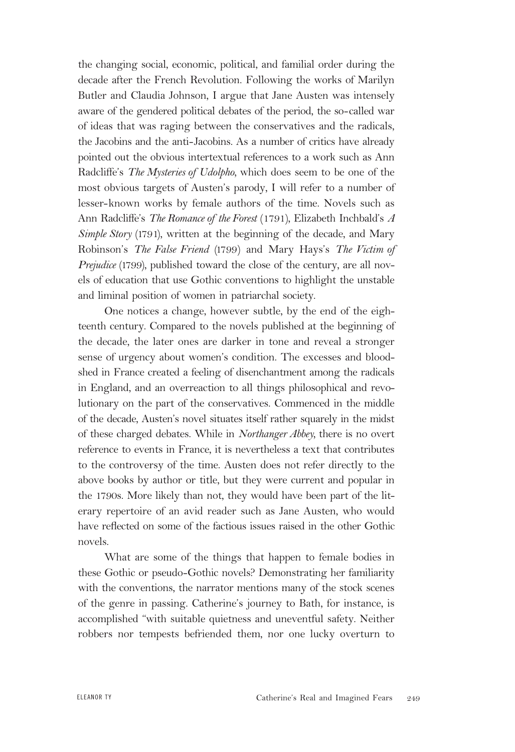the changing social, economic, political, and familial order during the decade after the French Revolution. Following the works of Marilyn Butler and Claudia Johnson, I argue that Jane Austen was intensely aware of the gendered political debates of the period, the so-called war of ideas that was raging between the conservatives and the radicals, the Jacobins and the anti-Jacobins. As a number of critics have already pointed out the obvious intertextual references to a work such as Ann Radcliffe's *The Mysteries of Udolpho,* which does seem to be one of the most obvious targets of Austen's parody, I will refer to a number of lesser-known works by female authors of the time. Novels such as Ann Radcliffe's *The Romance of the Forest* (1791), Elizabeth Inchbald's *A Simple Story* (1791), written at the beginning of the decade, and Mary Robinson's *The False Friend* (1799) and Mary Hays's *The Victim of Prejudice* (1799), published toward the close of the century, are all novels of education that use Gothic conventions to highlight the unstable and liminal position of women in patriarchal society.

One notices a change, however subtle, by the end of the eighteenth century. Compared to the novels published at the beginning of the decade, the later ones are darker in tone and reveal a stronger sense of urgency about women's condition. The excesses and bloodshed in France created a feeling of disenchantment among the radicals in England, and an overreaction to all things philosophical and revolutionary on the part of the conservatives. Commenced in the middle of the decade, Austen's novel situates itself rather squarely in the midst of these charged debates. While in *Northanger Abbey,* there is no overt reference to events in France, it is nevertheless a text that contributes to the controversy of the time. Austen does not refer directly to the above books by author or title, but they were current and popular in the 1790s. More likely than not, they would have been part of the literary repertoire of an avid reader such as Jane Austen, who would have reflected on some of the factious issues raised in the other Gothic novels.

What are some of the things that happen to female bodies in these Gothic or pseudo-Gothic novels? Demonstrating her familiarity with the conventions, the narrator mentions many of the stock scenes of the genre in passing. Catherine's journey to Bath, for instance, is accomplished "with suitable quietness and uneventful safety. Neither robbers nor tempests befriended them, nor one lucky overturn to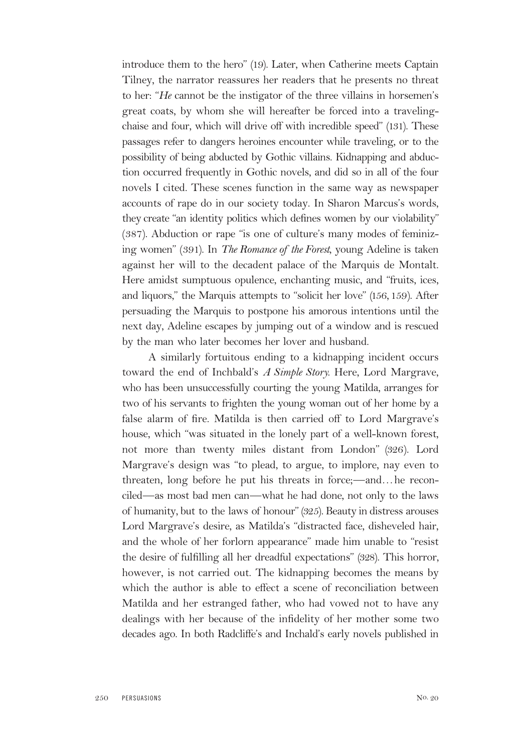introduce them to the hero" (19). Later, when Catherine meets Captain Tilney, the narrator reassures her readers that he presents no threat to her: "*He* cannot be the instigator of the three villains in horsemen's great coats, by whom she will hereafter be forced into a travelingchaise and four, which will drive off with incredible speed" (131). These passages refer to dangers heroines encounter while traveling, or to the possibility of being abducted by Gothic villains. Kidnapping and abduction occurred frequently in Gothic novels, and did so in all of the four novels I cited. These scenes function in the same way as newspaper accounts of rape do in our society today. In Sharon Marcus's words, they create "an identity politics which defines women by our violability" (387). Abduction or rape "is one of culture's many modes of feminizing women" (391). In *The Romance of the Forest*, young Adeline is taken against her will to the decadent palace of the Marquis de Montalt. Here amidst sumptuous opulence, enchanting music, and "fruits, ices, and liquors," the Marquis attempts to "solicit her love" (156,159). After persuading the Marquis to postpone his amorous intentions until the next day, Adeline escapes by jumping out of a window and is rescued by the man who later becomes her lover and husband.

A similarly fortuitous ending to a kidnapping incident occurs toward the end of Inchbald's *A Simple Story.* Here, Lord Margrave, who has been unsuccessfully courting the young Matilda, arranges for two of his servants to frighten the young woman out of her home by a false alarm of fire. Matilda is then carried off to Lord Margrave's house, which "was situated in the lonely part of a well-known forest, not more than twenty miles distant from London" (326). Lord Margrave's design was "to plead, to argue, to implore, nay even to threaten, long before he put his threats in force;—and…he reconciled—as most bad men can—what he had done, not only to the laws of humanity, but to the laws of honour" (325). Beauty in distress arouses Lord Margrave's desire, as Matilda's "distracted face, disheveled hair, and the whole of her forlorn appearance" made him unable to "resist the desire of fulfilling all her dreadful expectations" (328). This horror, however, is not carried out. The kidnapping becomes the means by which the author is able to effect a scene of reconciliation between Matilda and her estranged father, who had vowed not to have any dealings with her because of the infidelity of her mother some two decades ago. In both Radcliffe's and Inchald's early novels published in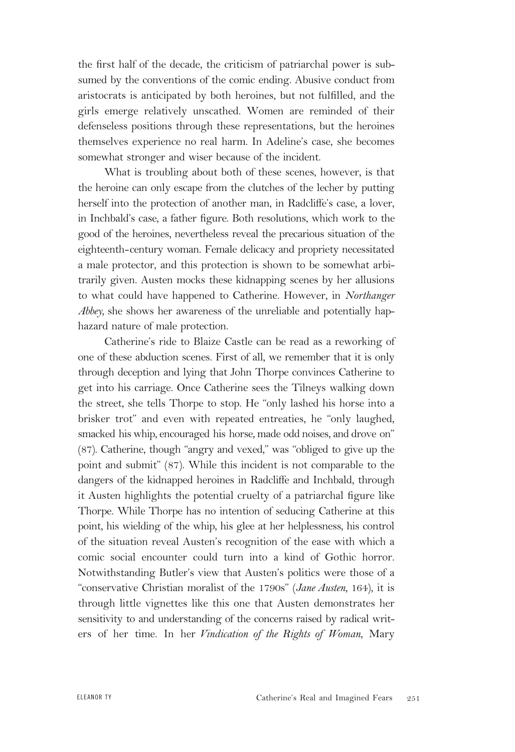the first half of the decade, the criticism of patriarchal power is subsumed by the conventions of the comic ending. Abusive conduct from aristocrats is anticipated by both heroines, but not fulfilled, and the girls emerge relatively unscathed. Women are reminded of their defenseless positions through these representations, but the heroines themselves experience no real harm. In Adeline's case, she becomes somewhat stronger and wiser because of the incident.

What is troubling about both of these scenes, however, is that the heroine can only escape from the clutches of the lecher by putting herself into the protection of another man, in Radcliffe's case, a lover, in Inchbald's case, a father figure. Both resolutions, which work to the good of the heroines, nevertheless reveal the precarious situation of the eighteenth-century woman. Female delicacy and propriety necessitated a male protector, and this protection is shown to be somewhat arbitrarily given. Austen mocks these kidnapping scenes by her allusions to what could have happened to Catherine. However, in *Northanger Abbey,* she shows her awareness of the unreliable and potentially haphazard nature of male protection.

Catherine's ride to Blaize Castle can be read as a reworking of one of these abduction scenes. First of all, we remember that it is only through deception and lying that John Thorpe convinces Catherine to get into his carriage. Once Catherine sees the Tilneys walking down the street, she tells Thorpe to stop. He "only lashed his horse into a brisker trot" and even with repeated entreaties, he "only laughed, smacked his whip, encouraged his horse, made odd noises, and drove on" (87). Catherine, though "angry and vexed," was "obliged to give up the point and submit" (87). While this incident is not comparable to the dangers of the kidnapped heroines in Radcliffe and Inchbald, through it Austen highlights the potential cruelty of a patriarchal figure like Thorpe. While Thorpe has no intention of seducing Catherine at this point, his wielding of the whip, his glee at her helplessness, his control of the situation reveal Austen's recognition of the ease with which a comic social encounter could turn into a kind of Gothic horror. Notwithstanding Butler's view that Austen's politics were those of a "conservative Christian moralist of the 1790s" (*Jane Austen,* 164), it is through little vignettes like this one that Austen demonstrates her sensitivity to and understanding of the concerns raised by radical writers of her time. In her *Vindication of the Rights of Woman,* Mary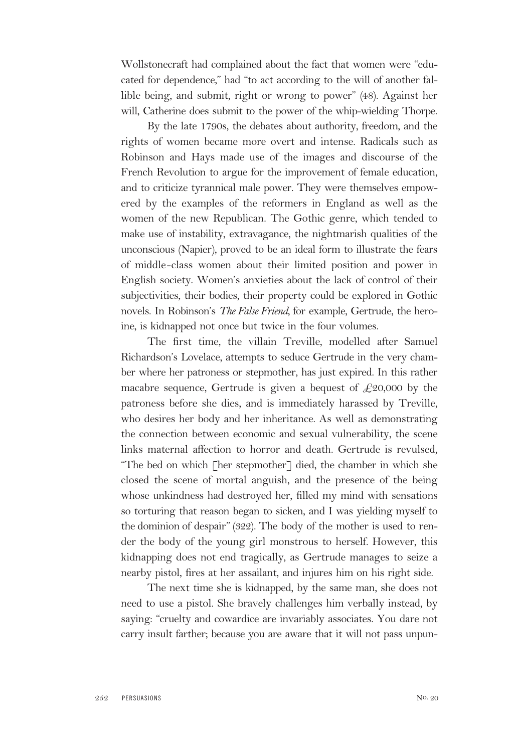Wollstonecraft had complained about the fact that women were "educated for dependence," had "to act according to the will of another fallible being, and submit, right or wrong to power" (48). Against her will, Catherine does submit to the power of the whip-wielding Thorpe.

By the late 1790s, the debates about authority, freedom, and the rights of women became more overt and intense. Radicals such as Robinson and Hays made use of the images and discourse of the French Revolution to argue for the improvement of female education, and to criticize tyrannical male power. They were themselves empowered by the examples of the reformers in England as well as the women of the new Republican. The Gothic genre, which tended to make use of instability, extravagance, the nightmarish qualities of the unconscious (Napier), proved to be an ideal form to illustrate the fears of middle-class women about their limited position and power in English society. Women's anxieties about the lack of control of their subjectivities, their bodies, their property could be explored in Gothic novels. In Robinson's *The False Friend,* for example, Gertrude, the heroine, is kidnapped not once but twice in the four volumes.

The first time, the villain Treville, modelled after Samuel Richardson's Lovelace, attempts to seduce Gertrude in the very chamber where her patroness or stepmother, has just expired. In this rather macabre sequence, Gertrude is given a bequest of  $\text{\textsterling}20,000$  by the patroness before she dies, and is immediately harassed by Treville, who desires her body and her inheritance. As well as demonstrating the connection between economic and sexual vulnerability, the scene links maternal affection to horror and death. Gertrude is revulsed, "The bed on which [her stepmother] died, the chamber in which she closed the scene of mortal anguish, and the presence of the being whose unkindness had destroyed her, filled my mind with sensations so torturing that reason began to sicken, and I was yielding myself to the dominion of despair" (322). The body of the mother is used to render the body of the young girl monstrous to herself. However, this kidnapping does not end tragically, as Gertrude manages to seize a nearby pistol, fires at her assailant, and injures him on his right side.

The next time she is kidnapped, by the same man, she does not need to use a pistol. She bravely challenges him verbally instead, by saying: "cruelty and cowardice are invariably associates. You dare not carry insult farther; because you are aware that it will not pass unpun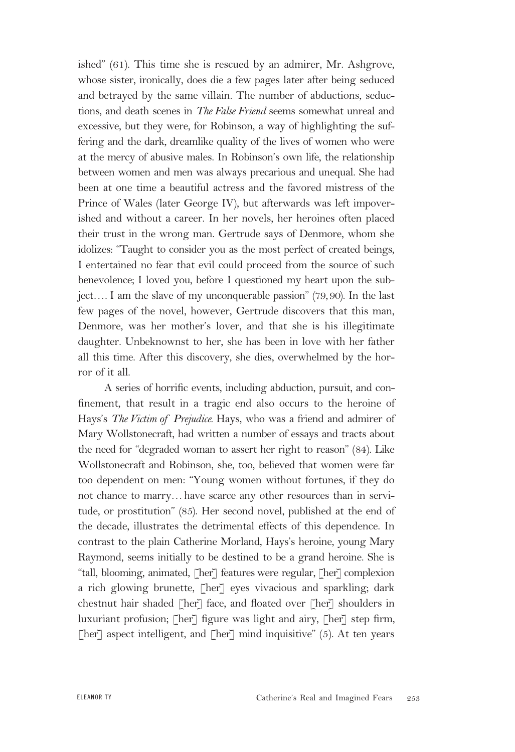ished" (61). This time she is rescued by an admirer, Mr. Ashgrove, whose sister, ironically, does die a few pages later after being seduced and betrayed by the same villain. The number of abductions, seductions, and death scenes in *The False Friend* seems somewhat unreal and excessive, but they were, for Robinson, a way of highlighting the suffering and the dark, dreamlike quality of the lives of women who were at the mercy of abusive males. In Robinson's own life, the relationship between women and men was always precarious and unequal. She had been at one time a beautiful actress and the favored mistress of the Prince of Wales (later George IV), but afterwards was left impoverished and without a career. In her novels, her heroines often placed their trust in the wrong man. Gertrude says of Denmore, whom she idolizes: "Taught to consider you as the most perfect of created beings, I entertained no fear that evil could proceed from the source of such benevolence; I loved you, before I questioned my heart upon the subject…. I am the slave of my unconquerable passion" (79,90). In the last few pages of the novel, however, Gertrude discovers that this man, Denmore, was her mother's lover, and that she is his illegitimate daughter. Unbeknownst to her, she has been in love with her father all this time. After this discovery, she dies, overwhelmed by the horror of it all.

A series of horrific events, including abduction, pursuit, and confinement, that result in a tragic end also occurs to the heroine of Hays's *The Victim of Prejudice.* Hays, who was a friend and admirer of Mary Wollstonecraft, had written a number of essays and tracts about the need for "degraded woman to assert her right to reason" (84). Like Wollstonecraft and Robinson, she, too, believed that women were far too dependent on men: "Young women without fortunes, if they do not chance to marry…have scarce any other resources than in servitude, or prostitution" (85). Her second novel, published at the end of the decade, illustrates the detrimental effects of this dependence. In contrast to the plain Catherine Morland, Hays's heroine, young Mary Raymond, seems initially to be destined to be a grand heroine. She is "tall, blooming, animated, [her] features were regular, [her] complexion a rich glowing brunette, [her] eyes vivacious and sparkling; dark chestnut hair shaded [her] face, and floated over [her] shoulders in luxuriant profusion; [her] figure was light and airy, [her] step firm, [her] aspect intelligent, and [her] mind inquisitive"  $(5)$ . At ten years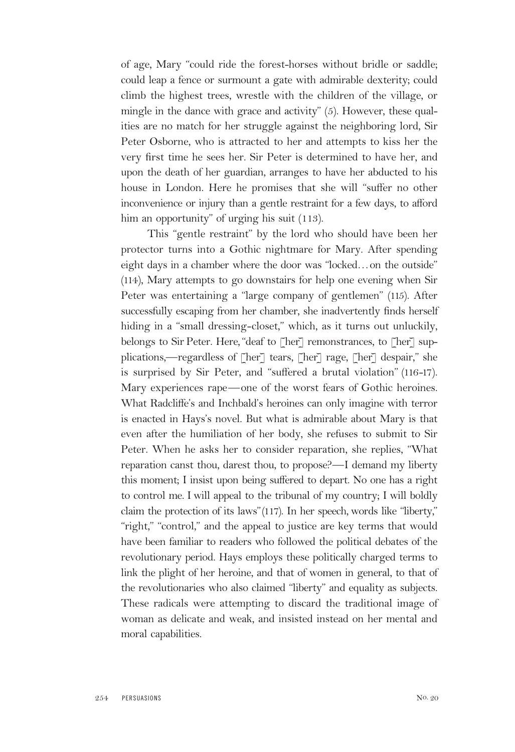of age, Mary "could ride the forest-horses without bridle or saddle; could leap a fence or surmount a gate with admirable dexterity; could climb the highest trees, wrestle with the children of the village, or mingle in the dance with grace and activity" (5). However, these qualities are no match for her struggle against the neighboring lord, Sir Peter Osborne, who is attracted to her and attempts to kiss her the very first time he sees her. Sir Peter is determined to have her, and upon the death of her guardian, arranges to have her abducted to his house in London. Here he promises that she will "suffer no other inconvenience or injury than a gentle restraint for a few days, to afford him an opportunity" of urging his suit (113).

This "gentle restraint" by the lord who should have been her protector turns into a Gothic nightmare for Mary. After spending eight days in a chamber where the door was "locked…on the outside" (114), Mary attempts to go downstairs for help one evening when Sir Peter was entertaining a "large company of gentlemen" (115). After successfully escaping from her chamber, she inadvertently finds herself hiding in a "small dressing-closet," which, as it turns out unluckily, belongs to Sir Peter. Here, "deaf to [her] remonstrances, to [her] supplications,—regardless of [her] tears, [her] rage, [her] despair," she is surprised by Sir Peter, and "suffered a brutal violation" (116-17). Mary experiences rape—one of the worst fears of Gothic heroines. What Radcliffe's and Inchbald's heroines can only imagine with terror is enacted in Hays's novel. But what is admirable about Mary is that even after the humiliation of her body, she refuses to submit to Sir Peter. When he asks her to consider reparation, she replies, "What reparation canst thou, darest thou, to propose?—I demand my liberty this moment; I insist upon being suffered to depart. No one has a right to control me. I will appeal to the tribunal of my country; I will boldly claim the protection of its laws"(117). In her speech, words like "liberty," "right," "control," and the appeal to justice are key terms that would have been familiar to readers who followed the political debates of the revolutionary period. Hays employs these politically charged terms to link the plight of her heroine, and that of women in general, to that of the revolutionaries who also claimed "liberty" and equality as subjects. These radicals were attempting to discard the traditional image of woman as delicate and weak, and insisted instead on her mental and moral capabilities.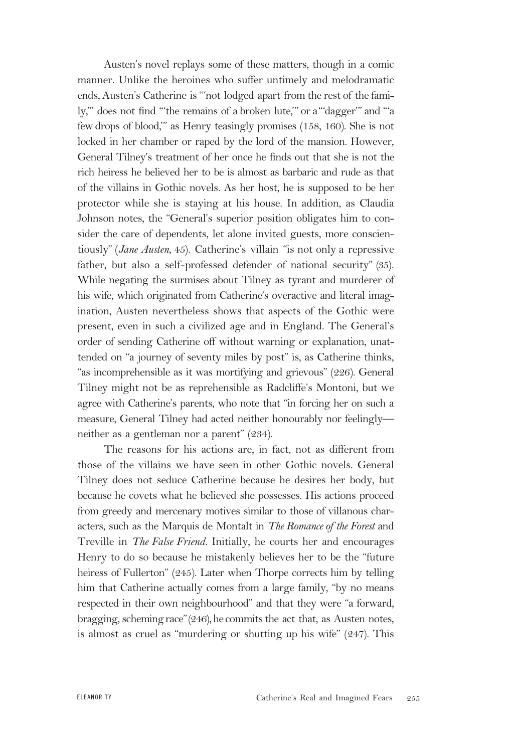Austen's novel replays some of these matters, though in a comic manner. Unlike the heroines who suffer untimely and melodramatic ends, Austen's Catherine is "'not lodged apart from the rest of the family,'" does not find "'the remains of a broken lute,'" or a"'dagger'" and "'a few drops of blood,'" as Henry teasingly promises (158, 160). She is not locked in her chamber or raped by the lord of the mansion. However, General Tilney's treatment of her once he finds out that she is not the rich heiress he believed her to be is almost as barbaric and rude as that of the villains in Gothic novels. As her host, he is supposed to be her protector while she is staying at his house. In addition, as Claudia Johnson notes, the "General's superior position obligates him to consider the care of dependents, let alone invited guests, more conscientiously" (*Jane Austen,* 45). Catherine's villain "is not only a repressive father, but also a self-professed defender of national security" (35). While negating the surmises about Tilney as tyrant and murderer of his wife, which originated from Catherine's overactive and literal imagination, Austen nevertheless shows that aspects of the Gothic were present, even in such a civilized age and in England. The General's order of sending Catherine off without warning or explanation, unattended on "a journey of seventy miles by post" is, as Catherine thinks, "as incomprehensible as it was mortifying and grievous" (226). General Tilney might not be as reprehensible as Radcliffe's Montoni, but we agree with Catherine's parents, who note that "in forcing her on such a measure, General Tilney had acted neither honourably nor feelingly neither as a gentleman nor a parent" (234).

The reasons for his actions are, in fact, not as different from those of the villains we have seen in other Gothic novels. General Tilney does not seduce Catherine because he desires her body, but because he covets what he believed she possesses. His actions proceed from greedy and mercenary motives similar to those of villanous characters, such as the Marquis de Montalt in *The Romance of the Forest* and Treville in *The False Friend.* Initially, he courts her and encourages Henry to do so because he mistakenly believes her to be the "future heiress of Fullerton" (245). Later when Thorpe corrects him by telling him that Catherine actually comes from a large family, "by no means respected in their own neighbourhood" and that they were "a forward, bragging, scheming race" $(246)$ , he commits the act that, as Austen notes, is almost as cruel as "murdering or shutting up his wife" (247). This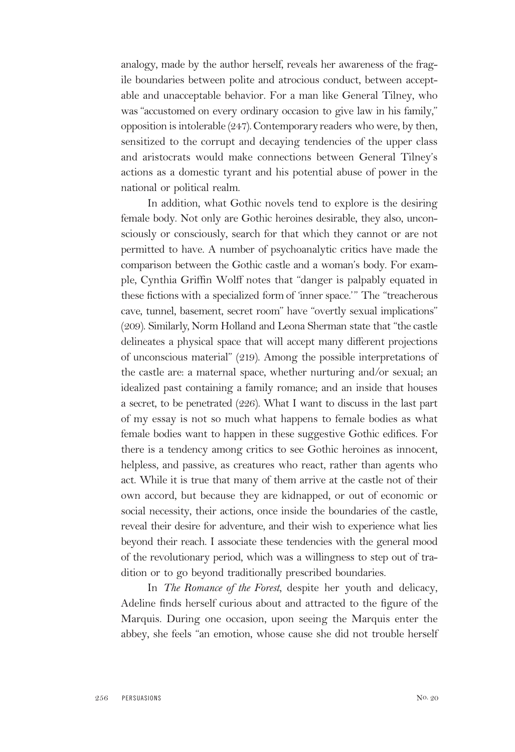analogy, made by the author herself, reveals her awareness of the fragile boundaries between polite and atrocious conduct, between acceptable and unacceptable behavior. For a man like General Tilney, who was "accustomed on every ordinary occasion to give law in his family," opposition is intolerable  $(247)$ . Contemporary readers who were, by then, sensitized to the corrupt and decaying tendencies of the upper class and aristocrats would make connections between General Tilney's actions as a domestic tyrant and his potential abuse of power in the national or political realm.

In addition, what Gothic novels tend to explore is the desiring female body. Not only are Gothic heroines desirable, they also, unconsciously or consciously, search for that which they cannot or are not permitted to have. A number of psychoanalytic critics have made the comparison between the Gothic castle and a woman's body. For example, Cynthia Griffin Wolff notes that "danger is palpably equated in these fictions with a specialized form of 'inner space.'" The "treacherous cave, tunnel, basement, secret room" have "overtly sexual implications" (209). Similarly, Norm Holland and Leona Sherman state that "the castle delineates a physical space that will accept many different projections of unconscious material" (219). Among the possible interpretations of the castle are: a maternal space, whether nurturing and/or sexual; an idealized past containing a family romance; and an inside that houses a secret, to be penetrated (226). What I want to discuss in the last part of my essay is not so much what happens to female bodies as what female bodies want to happen in these suggestive Gothic edifices. For there is a tendency among critics to see Gothic heroines as innocent, helpless, and passive, as creatures who react, rather than agents who act. While it is true that many of them arrive at the castle not of their own accord, but because they are kidnapped, or out of economic or social necessity, their actions, once inside the boundaries of the castle, reveal their desire for adventure, and their wish to experience what lies beyond their reach. I associate these tendencies with the general mood of the revolutionary period, which was a willingness to step out of tradition or to go beyond traditionally prescribed boundaries.

In *The Romance of the Forest,* despite her youth and delicacy, Adeline finds herself curious about and attracted to the figure of the Marquis. During one occasion, upon seeing the Marquis enter the abbey, she feels "an emotion, whose cause she did not trouble herself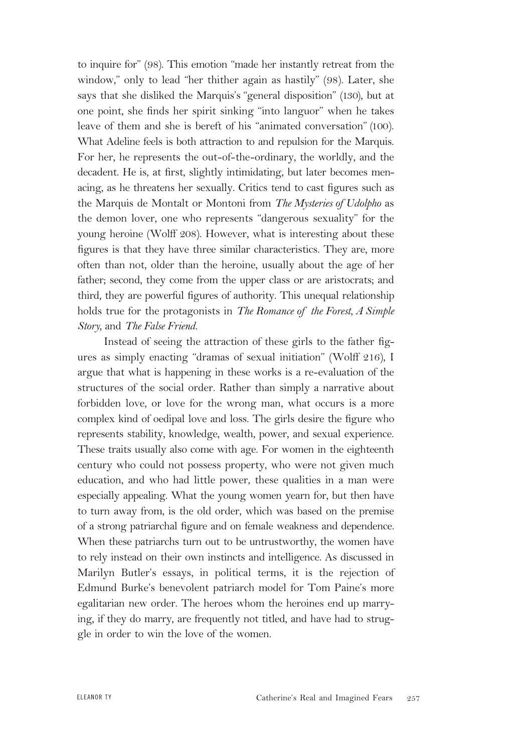to inquire for" (98). This emotion "made her instantly retreat from the window," only to lead "her thither again as hastily" (98). Later, she says that she disliked the Marquis's "general disposition" (130), but at one point, she finds her spirit sinking "into languor" when he takes leave of them and she is bereft of his "animated conversation" (100). What Adeline feels is both attraction to and repulsion for the Marquis. For her, he represents the out-of-the-ordinary, the worldly, and the decadent. He is, at first, slightly intimidating, but later becomes menacing, as he threatens her sexually. Critics tend to cast figures such as the Marquis de Montalt or Montoni from *The Mysteries of Udolpho* as the demon lover, one who represents "dangerous sexuality" for the young heroine (Wolff 208). However, what is interesting about these figures is that they have three similar characteristics. They are, more often than not, older than the heroine, usually about the age of her father; second, they come from the upper class or are aristocrats; and third, they are powerful figures of authority. This unequal relationship holds true for the protagonists in *The Romance of the Forest, A Simple Story,* and *The False Friend.*

Instead of seeing the attraction of these girls to the father figures as simply enacting "dramas of sexual initiation" (Wolff 216), I argue that what is happening in these works is a re-evaluation of the structures of the social order. Rather than simply a narrative about forbidden love, or love for the wrong man, what occurs is a more complex kind of oedipal love and loss. The girls desire the figure who represents stability, knowledge, wealth, power, and sexual experience. These traits usually also come with age. For women in the eighteenth century who could not possess property, who were not given much education, and who had little power, these qualities in a man were especially appealing. What the young women yearn for, but then have to turn away from, is the old order, which was based on the premise of a strong patriarchal figure and on female weakness and dependence. When these patriarchs turn out to be untrustworthy, the women have to rely instead on their own instincts and intelligence. As discussed in Marilyn Butler's essays, in political terms, it is the rejection of Edmund Burke's benevolent patriarch model for Tom Paine's more egalitarian new order. The heroes whom the heroines end up marrying, if they do marry, are frequently not titled, and have had to struggle in order to win the love of the women.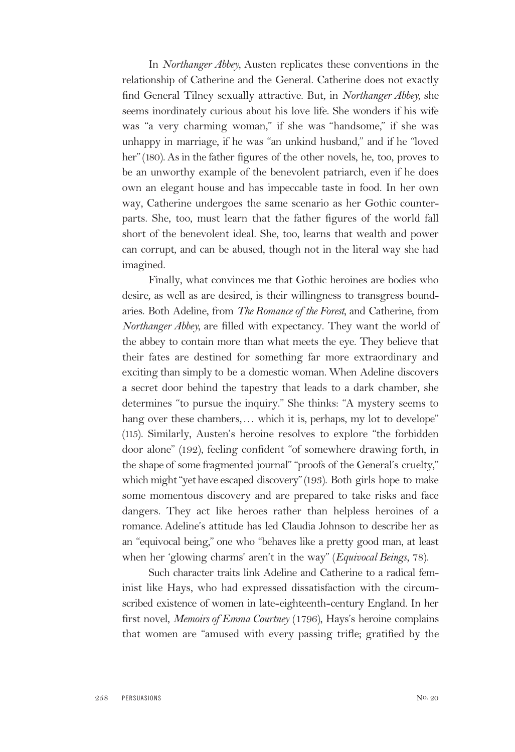In *Northanger Abbey,* Austen replicates these conventions in the relationship of Catherine and the General. Catherine does not exactly find General Tilney sexually attractive. But, in *Northanger Abbey,* she seems inordinately curious about his love life. She wonders if his wife was "a very charming woman," if she was "handsome," if she was unhappy in marriage, if he was "an unkind husband," and if he "loved her"(180). As in the father figures of the other novels, he, too, proves to be an unworthy example of the benevolent patriarch, even if he does own an elegant house and has impeccable taste in food. In her own way, Catherine undergoes the same scenario as her Gothic counterparts. She, too, must learn that the father figures of the world fall short of the benevolent ideal. She, too, learns that wealth and power can corrupt, and can be abused, though not in the literal way she had imagined.

Finally, what convinces me that Gothic heroines are bodies who desire, as well as are desired, is their willingness to transgress boundaries. Both Adeline, from *The Romance of the Forest,* and Catherine, from *Northanger Abbey,* are filled with expectancy. They want the world of the abbey to contain more than what meets the eye. They believe that their fates are destined for something far more extraordinary and exciting than simply to be a domestic woman. When Adeline discovers a secret door behind the tapestry that leads to a dark chamber, she determines "to pursue the inquiry." She thinks: "A mystery seems to hang over these chambers,... which it is, perhaps, my lot to develope" (115). Similarly, Austen's heroine resolves to explore "the forbidden door alone" (192), feeling confident "of somewhere drawing forth, in the shape of some fragmented journal" "proofs of the General's cruelty," which might "yet have escaped discovery" (193). Both girls hope to make some momentous discovery and are prepared to take risks and face dangers. They act like heroes rather than helpless heroines of a romance. Adeline's attitude has led Claudia Johnson to describe her as an "equivocal being," one who "behaves like a pretty good man, at least when her 'glowing charms' aren't in the way" (*Equivocal Beings,* 78).

Such character traits link Adeline and Catherine to a radical feminist like Hays, who had expressed dissatisfaction with the circumscribed existence of women in late-eighteenth-century England. In her first novel, *Memoirs of Emma Courtney* (1796), Hays's heroine complains that women are "amused with every passing trifle; gratified by the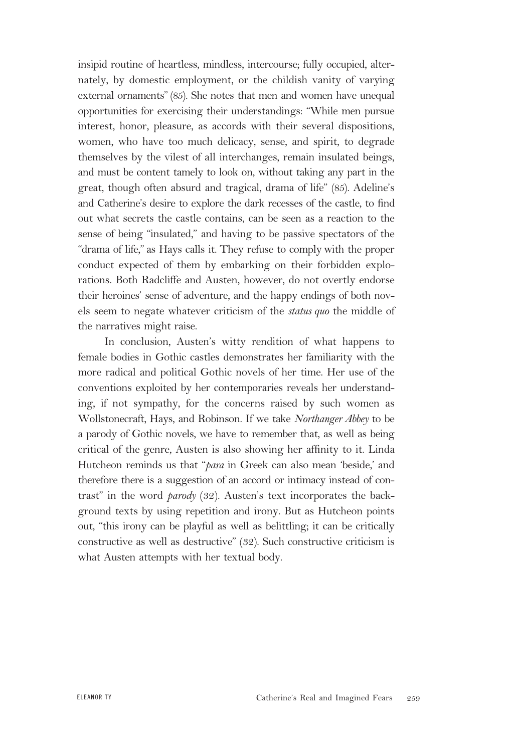insipid routine of heartless, mindless, intercourse; fully occupied, alternately, by domestic employment, or the childish vanity of varying external ornaments" (85). She notes that men and women have unequal opportunities for exercising their understandings: "While men pursue interest, honor, pleasure, as accords with their several dispositions, women, who have too much delicacy, sense, and spirit, to degrade themselves by the vilest of all interchanges, remain insulated beings, and must be content tamely to look on, without taking any part in the great, though often absurd and tragical, drama of life" (85). Adeline's and Catherine's desire to explore the dark recesses of the castle, to find out what secrets the castle contains, can be seen as a reaction to the sense of being "insulated," and having to be passive spectators of the "drama of life," as Hays calls it. They refuse to comply with the proper conduct expected of them by embarking on their forbidden explorations. Both Radcliffe and Austen, however, do not overtly endorse their heroines' sense of adventure, and the happy endings of both novels seem to negate whatever criticism of the *status quo* the middle of the narratives might raise.

In conclusion, Austen's witty rendition of what happens to female bodies in Gothic castles demonstrates her familiarity with the more radical and political Gothic novels of her time. Her use of the conventions exploited by her contemporaries reveals her understanding, if not sympathy, for the concerns raised by such women as Wollstonecraft, Hays, and Robinson. If we take *Northanger Abbey* to be a parody of Gothic novels, we have to remember that, as well as being critical of the genre, Austen is also showing her affinity to it. Linda Hutcheon reminds us that "*para* in Greek can also mean 'beside,' and therefore there is a suggestion of an accord or intimacy instead of contrast" in the word *parody* (32). Austen's text incorporates the background texts by using repetition and irony. But as Hutcheon points out, "this irony can be playful as well as belittling; it can be critically constructive as well as destructive" (32). Such constructive criticism is what Austen attempts with her textual body.